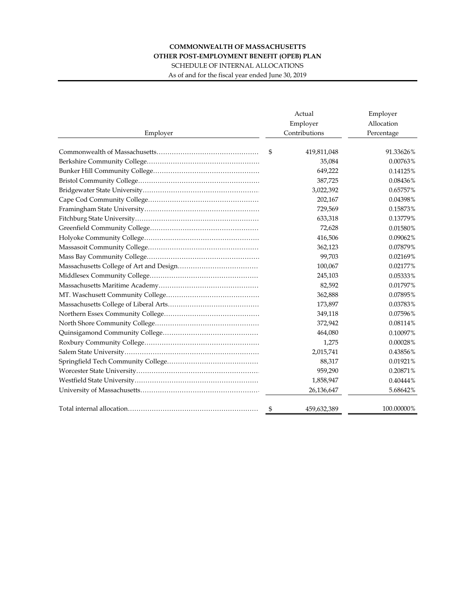## **COMMONWEALTH OF MASSACHUSETTS OTHER POST-EMPLOYMENT BENEFIT (OPEB) PLAN**

SCHEDULE OF INTERNAL ALLOCATIONS As of and for the fiscal year ended June 30, 2019

Actual Employer Employer Allocation Employer Contributions Percentage Commonwealth of Massachusetts………………………………………… \$ 419,811,048 91.33626% Berkshire Community College……………………………………………… 35,084 0.00763% Bunker Hill Community College…………………………………………… 649,222 0.14125% Bristol Community College………………………………………………… 387,725 0.08436% Bridgewater State University……………………………………………… 3,022,392 0.65757% Cape Cod Community College…………………………………………… 202,167 0.04398% Framingham State University……………………………………………… 729,569 0.15873% Fitchburg State University………………………………………………… 633,318 0.13779% Greenfield Community College…………………………………………… 72,628 0.01580% Holyoke Community College……………………………………………… 416,506 0.09062% Massasoit Community College…………………………………………… 362,123 0.07879% Mass Bay Community College……………………………………………… 99,703 0.02169% Massachusetts College of Art and Design………………………………… 100,067 0.02177% Middlesex Community College…………………………………………… 245,103 0.05333% Massachusetts Maritime Academy………………………………………… 82,592 0.01797% MT. Waschusett Community College……………………………………… 362,888 0.07895% Massachusetts College of Liberal Arts…………………………………… 173,897 0.03783% Northern Essex Community College……………………………………… 349,118 0.07596% North Shore Community College………………………………………… 372,942 0.08114% Quinsigamond Community College……………………………………… 464,080 0.10097% Roxbury Community College……………………………………………… 1,275 0.00028% Salem State University……………………………………………………… 2,015,741 0.43856% Springfield Tech Community College…………………………………… 88,317 0.01921% Worcester State University………………………………………………… 959,290 0.20871% Westfield State University………………………………………………… 1,858,947 0.40444% University of Massachusetts………………………………………………… 26,136,647 5.68642% Total internal allocation…………………………………………………… \$ 459,632,389 100.00000%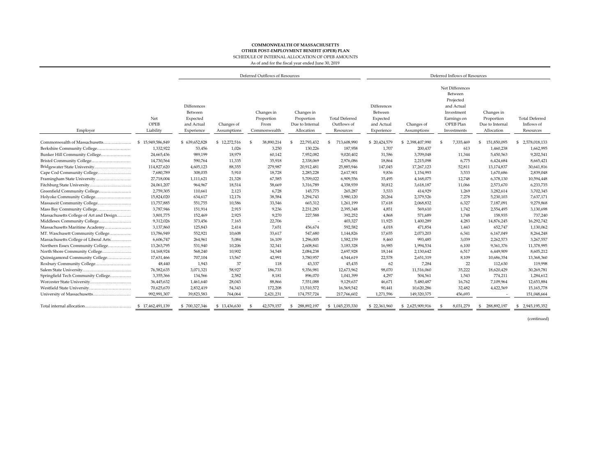## **COMMONWEALTH OF MASSACHUSETTS** SCHEDULE OF INTERNAL ALLOCATION OF OPEB AMOUNTS **OTHER POST-EMPLOYMENT BENEFIT (OPEB) PLAN**

As of and for the fiscal year ended June 30, 2019

|                                         |                          | Deferred Outflows of Resources                                 |                           |                                                  |            |                                                           |                                                   |                                                                | Deferred Inflows of Resources |                                                                                                                |                                                           |                                                  |  |
|-----------------------------------------|--------------------------|----------------------------------------------------------------|---------------------------|--------------------------------------------------|------------|-----------------------------------------------------------|---------------------------------------------------|----------------------------------------------------------------|-------------------------------|----------------------------------------------------------------------------------------------------------------|-----------------------------------------------------------|--------------------------------------------------|--|
| Employer                                | Net<br>OPEB<br>Liability | Differences<br>Between<br>Expected<br>and Actual<br>Experience | Changes of<br>Assumptions | Changes in<br>Proportion<br>From<br>Commonwealth |            | Changes in<br>Proportion<br>Due to Internal<br>Allocation | <b>Total Deferred</b><br>Outflows of<br>Resources | Differences<br>Between<br>Expected<br>and Actual<br>Experience | Changes of<br>Assumptions     | Net Differences<br>Between<br>Projected<br>and Actual<br>Investment<br>Earnings on<br>OPEB Plan<br>Investments | Changes in<br>Proportion<br>Due to Internal<br>Allocation | <b>Total Deferred</b><br>Inflows of<br>Resources |  |
| Commonwealth of Massachusetts           | \$15,949,586,849         | \$639,652,828                                                  | \$12,272,516              | \$                                               | 38,890,214 | 22,793,432<br>£.                                          | 713,608,990<br>\$                                 | \$20,424,579                                                   | \$2,398,407,990               | 7,335,469                                                                                                      | 151,850,095<br>S                                          | 2,578,018,133<br>\$                              |  |
| Berkshire Community College             | 1,332,922                | 53,456                                                         | 1,026                     |                                                  | 3,250      | 130,226                                                   | 187,958                                           | 1,707                                                          | 200,437                       | 613                                                                                                            | 1,460,238                                                 | 1,662,995                                        |  |
| Bunker Hill Community College           | 24,665,436               | 989,199                                                        | 18,979                    |                                                  | 60,142     | 7,952,082                                                 | 9,020,402                                         | 31,586                                                         | 3,709,048                     | 11,344                                                                                                         | 5,450,563                                                 | 9,202,541                                        |  |
|                                         | 14,730,564               | 590,764                                                        | 11,335                    |                                                  | 35,918     | 2,338,069                                                 | 2,976,086                                         | 18,864                                                         | 2,215,098                     | 6,775                                                                                                          | 6,424,684                                                 | 8,665,421                                        |  |
| Bridgewater State University            | 114,827,620              | 4,605,123                                                      | 88,355                    |                                                  | 279,987    | 20,912,481                                                | 25,885,946                                        | 147,045                                                        | 17,267,123                    | 52,811                                                                                                         | 13,174,837                                                | 30,641,816                                       |  |
| Cape Cod Community College              | 7,680,789                | 308,035                                                        | 5,910                     |                                                  | 18,728     | 2,285,228                                                 | 2,617,901                                         | 9,836                                                          | 1,154,993                     | 3,533                                                                                                          | 1,670,686                                                 | 2,839,048                                        |  |
| Framingham State University             | 27,718,004               | 1,111,621                                                      | 21,328                    |                                                  | 67,585     | 5,709,022                                                 | 6,909,556                                         | 35,495                                                         | 4,168,075                     | 12,748                                                                                                         | 6,378,130                                                 | 10,594,448                                       |  |
| Fitchburg State University              | 24,061,207               | 964,967                                                        | 18,514                    |                                                  | 58,669     | 3,316,789                                                 | 4,358,939                                         | 30,812                                                         | 3,618,187                     | 11,066                                                                                                         | 2,573,670                                                 | 6,233,735                                        |  |
| Greenfield Community College            | 2,759,305                | 110,661                                                        | 2,123                     |                                                  | 6,728      | 145,775                                                   | 265,287                                           | 3,533                                                          | 414,929                       | 1,269                                                                                                          | 3,282,614                                                 | 3,702,345                                        |  |
| Holyoke Community College               | 15,824,020               | 634,617                                                        | 12,176                    |                                                  | 38,584     | 3,294,743                                                 | 3,980,120                                         | 20,264                                                         | 2,379,526                     | 7,278                                                                                                          | 5,230,103                                                 | 7,637,171                                        |  |
| Massasoit Community College             | 13,757,885               | 551,755                                                        | 10,586                    |                                                  | 33,546     | 665,312                                                   | 1,261,199                                         | 17,618                                                         | 2,068,832                     | 6,327                                                                                                          | 7,187,091                                                 | 9,279,868                                        |  |
| Mass Bay Community College              | 3,787,946                | 151,914                                                        | 2,915                     |                                                  | 9,236      | 2,231,283                                                 | 2,395,348                                         | 4,851                                                          | 569,610                       | 1,742                                                                                                          | 2,554,495                                                 | 3,130,698                                        |  |
| Massachusetts College of Art and Design | 3,801,775                | 152,469                                                        | 2,925                     |                                                  | 9.270      | 227,588                                                   | 392,252                                           | 4.868                                                          | 571,689                       | 1,748                                                                                                          | 158,935                                                   | 737,240                                          |  |
| Middlesex Community College             | 9,312,026                | 373,456                                                        | 7,165                     |                                                  | 22,706     |                                                           | 403,327                                           | 11,925                                                         | 1,400,289                     | 4,283                                                                                                          | 14,876,245                                                | 16,292,742                                       |  |
| Massachusetts Maritime Academy          | 3,137,860                | 125,843                                                        | 2,414                     |                                                  | 7,651      | 456,674                                                   | 592,582                                           | 4,018                                                          | 471,854                       | 1,443                                                                                                          | 652,747                                                   | 1,130,062                                        |  |
| MT. Waschusett Community College        | 13,786,949               | 552,921                                                        | 10,608                    |                                                  | 33,617     | 547,680                                                   | 1,144,826                                         | 17,655                                                         | 2,073,203                     | 6,341                                                                                                          | 6,167,049                                                 | 8,264,248                                        |  |
| Massachusetts College of Liberal Arts   | 6,606,747                | 264,961                                                        | 5,084                     |                                                  | 16,109     | 1,296,005                                                 | 1,582,159                                         | 8,460                                                          | 993,485                       | 3,039                                                                                                          | 2,262,573                                                 | 3,267,557                                        |  |
| Northern Essex Community College        | 13,263,795               | 531,940                                                        | 10,206                    |                                                  | 32,341     | 2,608,841                                                 | 3,183,328                                         | 16,985                                                         | 1,994,534                     | 6,100                                                                                                          | 9,361,376                                                 | 11,378,995                                       |  |
| North Shore Community College           | 14,168,924               | 568,240                                                        | 10,902                    |                                                  | 34,548     | 2,084,238                                                 | 2,697,928                                         | 18,144                                                         | 2,130,642                     | 6,517                                                                                                          | 6,449,909                                                 | 8,605,212                                        |  |
| Quinsigamond Community College          | 17,631,466               | 707,104                                                        | 13,567                    |                                                  | 42,991     | 3,780,957                                                 | 4,544,619                                         | 22,578                                                         | 2,651,319                     | 8,109                                                                                                          | 10,686,354                                                | 13,368,360                                       |  |
|                                         | 48,440                   | 1,943                                                          | 37                        |                                                  | 118        | 43,337                                                    | 45,435                                            | 62                                                             | 7,284                         | 22                                                                                                             | 112,630                                                   | 119,998                                          |  |
|                                         | 76,582,635               | 3,071,321                                                      | 58,927                    |                                                  | 186,733    | 9,356,981                                                 | 12,673,962                                        | 98,070                                                         | 11,516,060                    | 35,222                                                                                                         | 18,620,429                                                | 30,269,781                                       |  |
| Springfield Tech Community College      | 3,355,366                | 134,566                                                        | 2,582                     |                                                  | 8,181      | 896,070                                                   | 1,041,399                                         | 4,297                                                          | 504,561                       | 1,543                                                                                                          | 774,211                                                   | 1,284,612                                        |  |
| Worcester State University              | 36,445,632               | 1,461,640                                                      | 28,043                    |                                                  | 88,866     | 7,551,088                                                 | 9,129,637                                         | 46,671                                                         | 5,480,487                     | 16,762                                                                                                         | 7,109,964                                                 | 12,653,884                                       |  |
| Westfield State University              | 70,625,670               | 2,832,419                                                      | 54,343                    |                                                  | 172,208    | 13,510,572                                                | 16,569,542                                        | 90,441                                                         | 10,620,286                    | 32,482                                                                                                         | 4,422,569                                                 | 15,165,778                                       |  |
| University of Massachusetts             | 992.991.307              | 39,823,583                                                     | 764,064                   |                                                  | 2,421,231  | 174,757,724                                               | 217,766,602                                       | 1,271,596                                                      | 149,320,375                   | 456.693                                                                                                        |                                                           | 151,048,664                                      |  |
| Total internal allocation               | \$17.462.491.139         | \$700,327,346                                                  | 13.436.630<br>-96         |                                                  | 42,579,157 | 288.892.197                                               | \$1.045.235.330                                   | \$22,361,960                                                   | 2,625,909,916<br>\$           | 8.031.279                                                                                                      | 288.892.197                                               | 2,945,195,352<br>£.                              |  |

(continued)